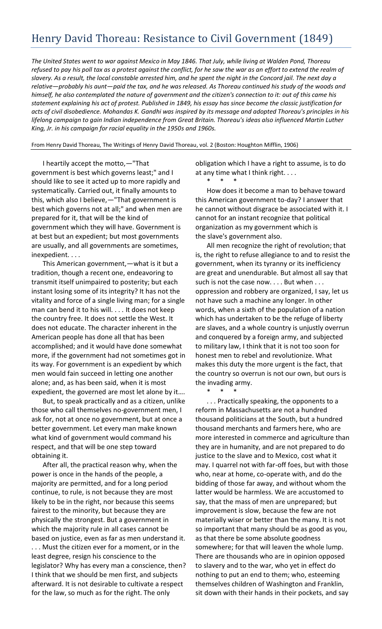## Henry David Thoreau: Resistance to Civil Government (1849)

*The United States went to war against Mexico in May 1846. That July, while living at Walden Pond, Thoreau refused to pay his poll tax as a protest against the conflict, for he saw the war as an effort to extend the realm of slavery. As a result, the local constable arrested him, and he spent the night in the Concord jail. The next day a relative—probably his aunt—paid the tax, and he was released. As Thoreau continued his study of the woods and himself, he also contemplated the nature of government and the citizen's connection to it: out of this came his statement explaining his act of protest. Published in 1849, his essay has since become the classic justification for acts of civil disobedience. Mohandas K. Gandhi was inspired by its message and adopted Thoreau's principles in his lifelong campaign to gain Indian independence from Great Britain. Thoreau's ideas also influenced Martin Luther King, Jr. in his campaign for racial equality in the 1950s and 1960s.*

From Henry David Thoreau, The Writings of Henry David Thoreau, vol. 2 (Boston: Houghton Mifflin, 1906)

I heartily accept the motto,—"That government is best which governs least;" and I should like to see it acted up to more rapidly and systematically. Carried out, it finally amounts to this, which also I believe,—"That government is best which governs not at all;" and when men are prepared for it, that will be the kind of government which they will have. Government is at best but an expedient; but most governments are usually, and all governments are sometimes, inexpedient. . . .

This American government,—what is it but a tradition, though a recent one, endeavoring to transmit itself unimpaired to posterity; but each instant losing some of its integrity? It has not the vitality and force of a single living man; for a single man can bend it to his will. . . . It does not keep the country free. It does not settle the West. It does not educate. The character inherent in the American people has done all that has been accomplished; and it would have done somewhat more, if the government had not sometimes got in its way. For government is an expedient by which men would fain succeed in letting one another alone; and, as has been said, when it is most expedient, the governed are most let alone by it….

But, to speak practically and as a citizen, unlike those who call themselves no-government men, I ask for, not at once no government, but at once a better government. Let every man make known what kind of government would command his respect, and that will be one step toward obtaining it.

After all, the practical reason why, when the power is once in the hands of the people, a majority are permitted, and for a long period continue, to rule, is not because they are most likely to be in the right, nor because this seems fairest to the minority, but because they are physically the strongest. But a government in which the majority rule in all cases cannot be based on justice, even as far as men understand it. . . . Must the citizen ever for a moment, or in the least degree, resign his conscience to the legislator? Why has every man a conscience, then? I think that we should be men first, and subjects afterward. It is not desirable to cultivate a respect for the law, so much as for the right. The only

obligation which I have a right to assume, is to do at any time what I think right. . . .

\* \* \* How does it become a man to behave toward this American government to-day? I answer that he cannot without disgrace be associated with it. I cannot for an instant recognize that political organization as my government which is the slave's government also.

All men recognize the right of revolution; that is, the right to refuse allegiance to and to resist the government, when its tyranny or its inefficiency are great and unendurable. But almost all say that such is not the case now.... But when ... oppression and robbery are organized, I say, let us not have such a machine any longer. In other words, when a sixth of the population of a nation which has undertaken to be the refuge of liberty are slaves, and a whole country is unjustly overrun and conquered by a foreign army, and subjected to military law, I think that it is not too soon for honest men to rebel and revolutionize. What makes this duty the more urgent is the fact, that the country so overrun is not our own, but ours is the invading army.

\* \* \*

. . . Practically speaking, the opponents to a reform in Massachusetts are not a hundred thousand politicians at the South, but a hundred thousand merchants and farmers here, who are more interested in commerce and agriculture than they are in humanity, and are not prepared to do justice to the slave and to Mexico, cost what it may. I quarrel not with far-off foes, but with those who, near at home, co-operate with, and do the bidding of those far away, and without whom the latter would be harmless. We are accustomed to say, that the mass of men are unprepared; but improvement is slow, because the few are not materially wiser or better than the many. It is not so important that many should be as good as you, as that there be some absolute goodness somewhere; for that will leaven the whole lump. There are thousands who are in opinion opposed to slavery and to the war, who yet in effect do nothing to put an end to them; who, esteeming themselves children of Washington and Franklin, sit down with their hands in their pockets, and say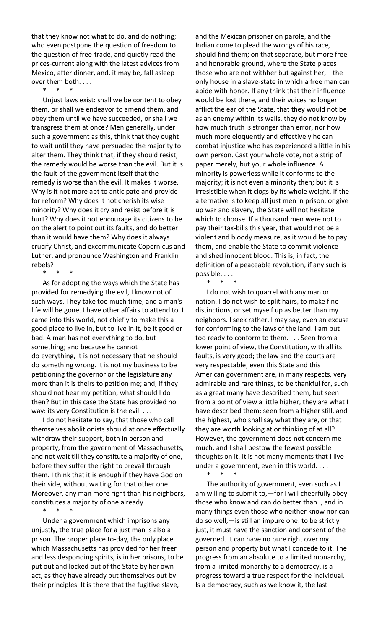that they know not what to do, and do nothing; who even postpone the question of freedom to the question of free-trade, and quietly read the prices-current along with the latest advices from Mexico, after dinner, and, it may be, fall asleep over them both. . . .

\* \* \*

Unjust laws exist: shall we be content to obey them, or shall we endeavor to amend them, and obey them until we have succeeded, or shall we transgress them at once? Men generally, under such a government as this, think that they ought to wait until they have persuaded the majority to alter them. They think that, if they should resist, the remedy would be worse than the evil. But it is the fault of the government itself that the remedy is worse than the evil. It makes it worse. Why is it not more apt to anticipate and provide for reform? Why does it not cherish its wise minority? Why does it cry and resist before it is hurt? Why does it not encourage its citizens to be on the alert to point out its faults, and do better than it would have them? Why does it always crucify Christ, and excommunicate Copernicus and Luther, and pronounce Washington and Franklin rebels?

\* \* \*

As for adopting the ways which the State has provided for remedying the evil, I know not of such ways. They take too much time, and a man's life will be gone. I have other affairs to attend to. I came into this world, not chiefly to make this a good place to live in, but to live in it, be it good or bad. A man has not everything to do, but something; and because he cannot do everything, it is not necessary that he should do something wrong. It is not my business to be petitioning the governor or the legislature any more than it is theirs to petition me; and, if they should not hear my petition, what should I do then? But in this case the State has provided no way: its very Constitution is the evil. . . .

I do not hesitate to say, that those who call themselves abolitionists should at once effectually withdraw their support, both in person and property, from the government of Massachusetts, and not wait till they constitute a majority of one, before they suffer the right to prevail through them. I think that it is enough if they have God on their side, without waiting for that other one. Moreover, any man more right than his neighbors, constitutes a majority of one already.

\* \* \*

Under a government which imprisons any unjustly, the true place for a just man is also a prison. The proper place to-day, the only place which Massachusetts has provided for her freer and less desponding spirits, is in her prisons, to be put out and locked out of the State by her own act, as they have already put themselves out by their principles. It is there that the fugitive slave,

and the Mexican prisoner on parole, and the Indian come to plead the wrongs of his race, should find them; on that separate, but more free and honorable ground, where the State places those who are not withher but against her,—the only house in a slave-state in which a free man can abide with honor. If any think that their influence would be lost there, and their voices no longer afflict the ear of the State, that they would not be as an enemy within its walls, they do not know by how much truth is stronger than error, nor how much more eloquently and effectively he can combat injustice who has experienced a little in his own person. Cast your whole vote, not a strip of paper merely, but your whole influence. A minority is powerless while it conforms to the majority; it is not even a minority then; but it is irresistible when it clogs by its whole weight. If the alternative is to keep all just men in prison, or give up war and slavery, the State will not hesitate which to choose. If a thousand men were not to pay their tax-bills this year, that would not be a violent and bloody measure, as it would be to pay them, and enable the State to commit violence and shed innocent blood. This is, in fact, the definition of a peaceable revolution, if any such is possible. . . .

\* \* \*

I do not wish to quarrel with any man or nation. I do not wish to split hairs, to make fine distinctions, or set myself up as better than my neighbors. I seek rather, I may say, even an excuse for conforming to the laws of the land. I am but too ready to conform to them. . . . Seen from a lower point of view, the Constitution, with all its faults, is very good; the law and the courts are very respectable; even this State and this American government are, in many respects, very admirable and rare things, to be thankful for, such as a great many have described them; but seen from a point of view a little higher, they are what I have described them; seen from a higher still, and the highest, who shall say what they are, or that they are worth looking at or thinking of at all? However, the government does not concern me much, and I shall bestow the fewest possible thoughts on it. It is not many moments that I live under a government, even in this world. . . .

\* \* \*

The authority of government, even such as I am willing to submit to,—for I will cheerfully obey those who know and can do better than I, and in many things even those who neither know nor can do so well,—is still an impure one: to be strictly just, it must have the sanction and consent of the governed. It can have no pure right over my person and property but what I concede to it. The progress from an absolute to a limited monarchy, from a limited monarchy to a democracy, is a progress toward a true respect for the individual. Is a democracy, such as we know it, the last